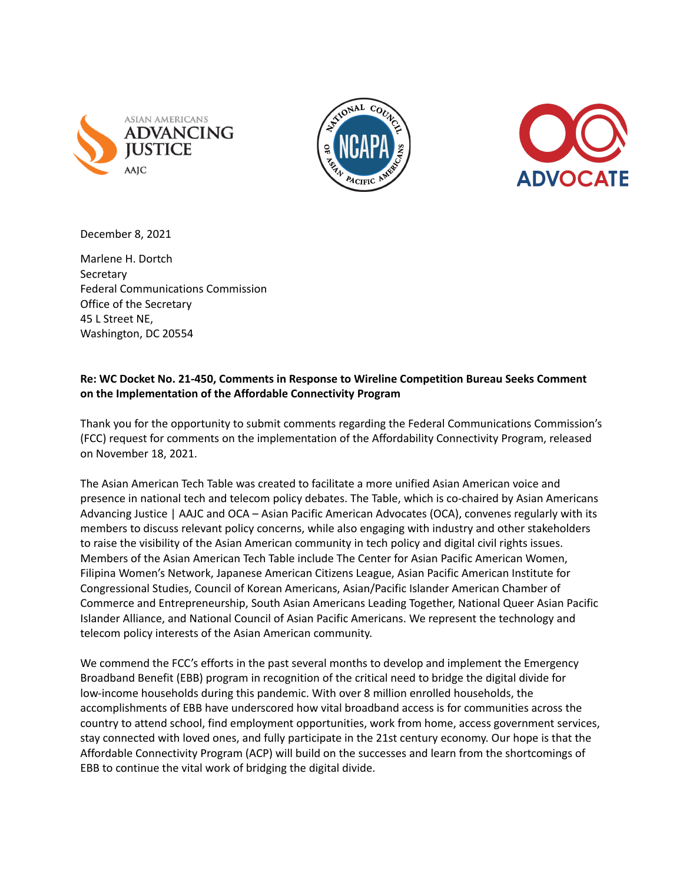





December 8, 2021

Marlene H. Dortch **Secretary** Federal Communications Commission Office of the Secretary 45 L Street NE, Washington, DC 20554

# **Re: WC Docket No. 21-450, Comments in Response to Wireline Competition Bureau Seeks Comment on the Implementation of the Affordable Connectivity Program**

Thank you for the opportunity to submit comments regarding the Federal Communications Commission's (FCC) request for comments on the implementation of the Affordability Connectivity Program, released on November 18, 2021.

The Asian American Tech Table was created to facilitate a more unified Asian American voice and presence in national tech and telecom policy debates. The Table, which is co-chaired by Asian Americans Advancing Justice | AAJC and OCA – Asian Pacific American Advocates (OCA), convenes regularly with its members to discuss relevant policy concerns, while also engaging with industry and other stakeholders to raise the visibility of the Asian American community in tech policy and digital civil rights issues. Members of the Asian American Tech Table include The Center for Asian Pacific American Women, Filipina Women's Network, Japanese American Citizens League, Asian Pacific American Institute for Congressional Studies, Council of Korean Americans, Asian/Pacific Islander American Chamber of Commerce and Entrepreneurship, South Asian Americans Leading Together, National Queer Asian Pacific Islander Alliance, and National Council of Asian Pacific Americans. We represent the technology and telecom policy interests of the Asian American community.

We commend the FCC's efforts in the past several months to develop and implement the Emergency Broadband Benefit (EBB) program in recognition of the critical need to bridge the digital divide for low-income households during this pandemic. With over 8 million enrolled households, the accomplishments of EBB have underscored how vital broadband access is for communities across the country to attend school, find employment opportunities, work from home, access government services, stay connected with loved ones, and fully participate in the 21st century economy. Our hope is that the Affordable Connectivity Program (ACP) will build on the successes and learn from the shortcomings of EBB to continue the vital work of bridging the digital divide.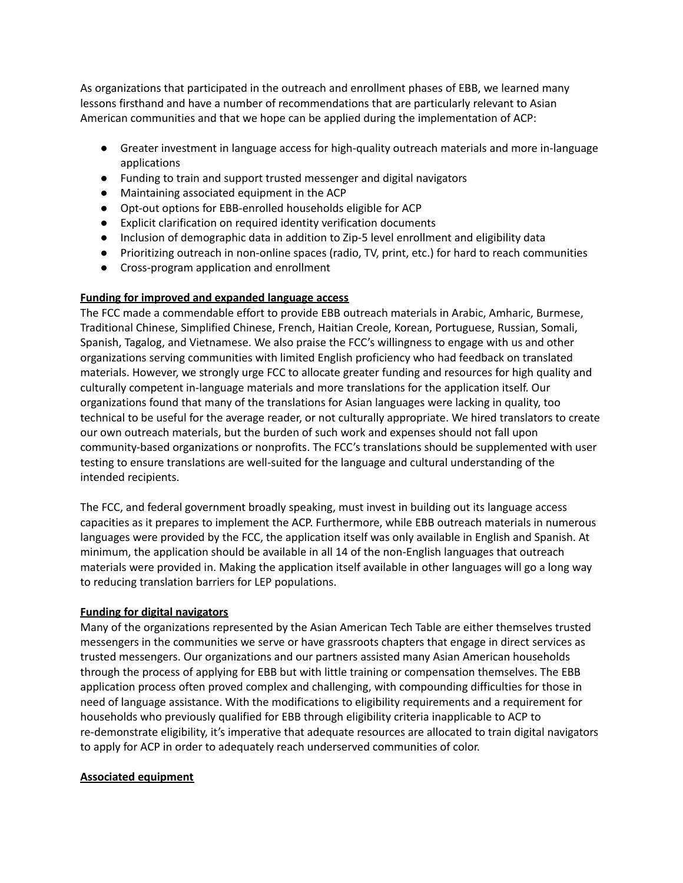As organizations that participated in the outreach and enrollment phases of EBB, we learned many lessons firsthand and have a number of recommendations that are particularly relevant to Asian American communities and that we hope can be applied during the implementation of ACP:

- Greater investment in language access for high-quality outreach materials and more in-language applications
- Funding to train and support trusted messenger and digital navigators
- Maintaining associated equipment in the ACP
- Opt-out options for EBB-enrolled households eligible for ACP
- Explicit clarification on required identity verification documents
- Inclusion of demographic data in addition to Zip-5 level enrollment and eligibility data
- Prioritizing outreach in non-online spaces (radio, TV, print, etc.) for hard to reach communities
- Cross-program application and enrollment

# **Funding for improved and expanded language access**

The FCC made a commendable effort to provide EBB outreach materials in Arabic, Amharic, Burmese, Traditional Chinese, Simplified Chinese, French, Haitian Creole, Korean, Portuguese, Russian, Somali, Spanish, Tagalog, and Vietnamese. We also praise the FCC's willingness to engage with us and other organizations serving communities with limited English proficiency who had feedback on translated materials. However, we strongly urge FCC to allocate greater funding and resources for high quality and culturally competent in-language materials and more translations for the application itself. Our organizations found that many of the translations for Asian languages were lacking in quality, too technical to be useful for the average reader, or not culturally appropriate. We hired translators to create our own outreach materials, but the burden of such work and expenses should not fall upon community-based organizations or nonprofits. The FCC's translations should be supplemented with user testing to ensure translations are well-suited for the language and cultural understanding of the intended recipients.

The FCC, and federal government broadly speaking, must invest in building out its language access capacities as it prepares to implement the ACP. Furthermore, while EBB outreach materials in numerous languages were provided by the FCC, the application itself was only available in English and Spanish. At minimum, the application should be available in all 14 of the non-English languages that outreach materials were provided in. Making the application itself available in other languages will go a long way to reducing translation barriers for LEP populations.

## **Funding for digital navigators**

Many of the organizations represented by the Asian American Tech Table are either themselves trusted messengers in the communities we serve or have grassroots chapters that engage in direct services as trusted messengers. Our organizations and our partners assisted many Asian American households through the process of applying for EBB but with little training or compensation themselves. The EBB application process often proved complex and challenging, with compounding difficulties for those in need of language assistance. With the modifications to eligibility requirements and a requirement for households who previously qualified for EBB through eligibility criteria inapplicable to ACP to re-demonstrate eligibility, it's imperative that adequate resources are allocated to train digital navigators to apply for ACP in order to adequately reach underserved communities of color.

## **Associated equipment**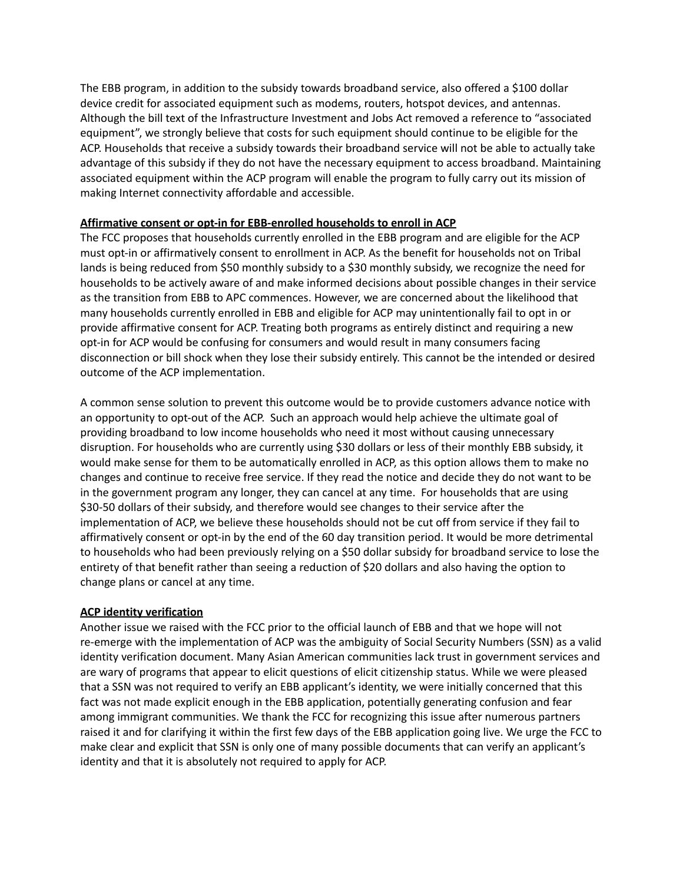The EBB program, in addition to the subsidy towards broadband service, also offered a \$100 dollar device credit for associated equipment such as modems, routers, hotspot devices, and antennas. Although the bill text of the Infrastructure Investment and Jobs Act removed a reference to "associated equipment", we strongly believe that costs for such equipment should continue to be eligible for the ACP. Households that receive a subsidy towards their broadband service will not be able to actually take advantage of this subsidy if they do not have the necessary equipment to access broadband. Maintaining associated equipment within the ACP program will enable the program to fully carry out its mission of making Internet connectivity affordable and accessible.

## **Affirmative consent or opt-in for EBB-enrolled households to enroll in ACP**

The FCC proposes that households currently enrolled in the EBB program and are eligible for the ACP must opt-in or affirmatively consent to enrollment in ACP. As the benefit for households not on Tribal lands is being reduced from \$50 monthly subsidy to a \$30 monthly subsidy, we recognize the need for households to be actively aware of and make informed decisions about possible changes in their service as the transition from EBB to APC commences. However, we are concerned about the likelihood that many households currently enrolled in EBB and eligible for ACP may unintentionally fail to opt in or provide affirmative consent for ACP. Treating both programs as entirely distinct and requiring a new opt-in for ACP would be confusing for consumers and would result in many consumers facing disconnection or bill shock when they lose their subsidy entirely. This cannot be the intended or desired outcome of the ACP implementation.

A common sense solution to prevent this outcome would be to provide customers advance notice with an opportunity to opt-out of the ACP. Such an approach would help achieve the ultimate goal of providing broadband to low income households who need it most without causing unnecessary disruption. For households who are currently using \$30 dollars or less of their monthly EBB subsidy, it would make sense for them to be automatically enrolled in ACP, as this option allows them to make no changes and continue to receive free service. If they read the notice and decide they do not want to be in the government program any longer, they can cancel at any time. For households that are using \$30-50 dollars of their subsidy, and therefore would see changes to their service after the implementation of ACP, we believe these households should not be cut off from service if they fail to affirmatively consent or opt-in by the end of the 60 day transition period. It would be more detrimental to households who had been previously relying on a \$50 dollar subsidy for broadband service to lose the entirety of that benefit rather than seeing a reduction of \$20 dollars and also having the option to change plans or cancel at any time.

## **ACP identity verification**

Another issue we raised with the FCC prior to the official launch of EBB and that we hope will not re-emerge with the implementation of ACP was the ambiguity of Social Security Numbers (SSN) as a valid identity verification document. Many Asian American communities lack trust in government services and are wary of programs that appear to elicit questions of elicit citizenship status. While we were pleased that a SSN was not required to verify an EBB applicant's identity, we were initially concerned that this fact was not made explicit enough in the EBB application, potentially generating confusion and fear among immigrant communities. We thank the FCC for recognizing this issue after numerous partners raised it and for clarifying it within the first few days of the EBB application going live. We urge the FCC to make clear and explicit that SSN is only one of many possible documents that can verify an applicant's identity and that it is absolutely not required to apply for ACP.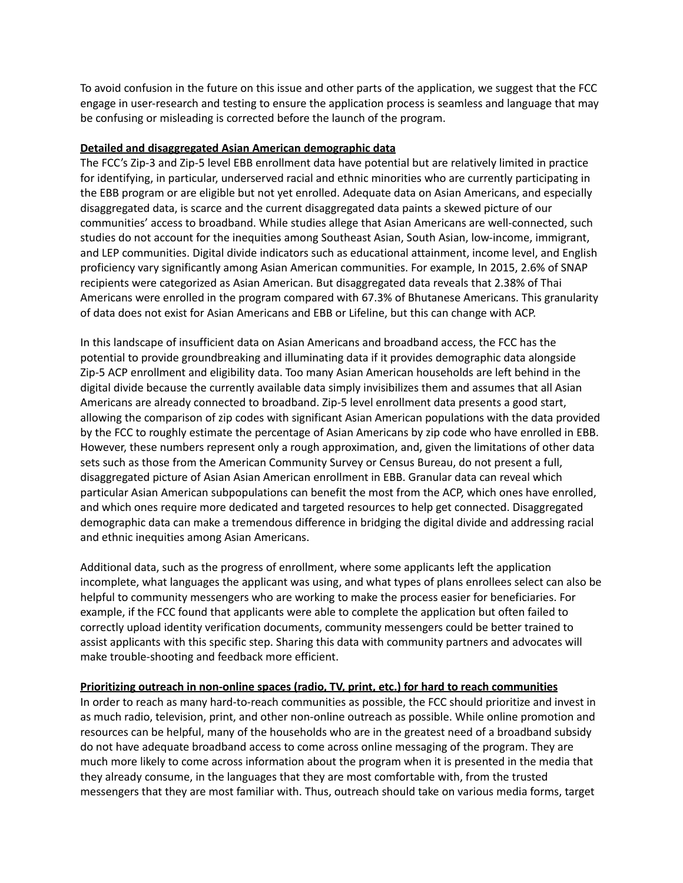To avoid confusion in the future on this issue and other parts of the application, we suggest that the FCC engage in user-research and testing to ensure the application process is seamless and language that may be confusing or misleading is corrected before the launch of the program.

### **Detailed and disaggregated Asian American demographic data**

The FCC's Zip-3 and Zip-5 level EBB enrollment data have potential but are relatively limited in practice for identifying, in particular, underserved racial and ethnic minorities who are currently participating in the EBB program or are eligible but not yet enrolled. Adequate data on Asian Americans, and especially disaggregated data, is scarce and the current disaggregated data paints a skewed picture of our communities' access to broadband. While studies allege that Asian Americans are well-connected, such studies do not account for the inequities among Southeast Asian, South Asian, low-income, immigrant, and LEP communities. Digital divide indicators such as educational attainment, income level, and English proficiency vary significantly among Asian American communities. For example, In 2015, 2.6% of SNAP recipients were categorized as Asian American. But disaggregated data reveals that 2.38% of Thai Americans were enrolled in the program compared with 67.3% of Bhutanese Americans. This granularity of data does not exist for Asian Americans and EBB or Lifeline, but this can change with ACP.

In this landscape of insufficient data on Asian Americans and broadband access, the FCC has the potential to provide groundbreaking and illuminating data if it provides demographic data alongside Zip-5 ACP enrollment and eligibility data. Too many Asian American households are left behind in the digital divide because the currently available data simply invisibilizes them and assumes that all Asian Americans are already connected to broadband. Zip-5 level enrollment data presents a good start, allowing the comparison of zip codes with significant Asian American populations with the data provided by the FCC to roughly estimate the percentage of Asian Americans by zip code who have enrolled in EBB. However, these numbers represent only a rough approximation, and, given the limitations of other data sets such as those from the American Community Survey or Census Bureau, do not present a full, disaggregated picture of Asian Asian American enrollment in EBB. Granular data can reveal which particular Asian American subpopulations can benefit the most from the ACP, which ones have enrolled, and which ones require more dedicated and targeted resources to help get connected. Disaggregated demographic data can make a tremendous difference in bridging the digital divide and addressing racial and ethnic inequities among Asian Americans.

Additional data, such as the progress of enrollment, where some applicants left the application incomplete, what languages the applicant was using, and what types of plans enrollees select can also be helpful to community messengers who are working to make the process easier for beneficiaries. For example, if the FCC found that applicants were able to complete the application but often failed to correctly upload identity verification documents, community messengers could be better trained to assist applicants with this specific step. Sharing this data with community partners and advocates will make trouble-shooting and feedback more efficient.

## **Prioritizing outreach in non-online spaces (radio, TV, print, etc.) for hard to reach communities**

In order to reach as many hard-to-reach communities as possible, the FCC should prioritize and invest in as much radio, television, print, and other non-online outreach as possible. While online promotion and resources can be helpful, many of the households who are in the greatest need of a broadband subsidy do not have adequate broadband access to come across online messaging of the program. They are much more likely to come across information about the program when it is presented in the media that they already consume, in the languages that they are most comfortable with, from the trusted messengers that they are most familiar with. Thus, outreach should take on various media forms, target